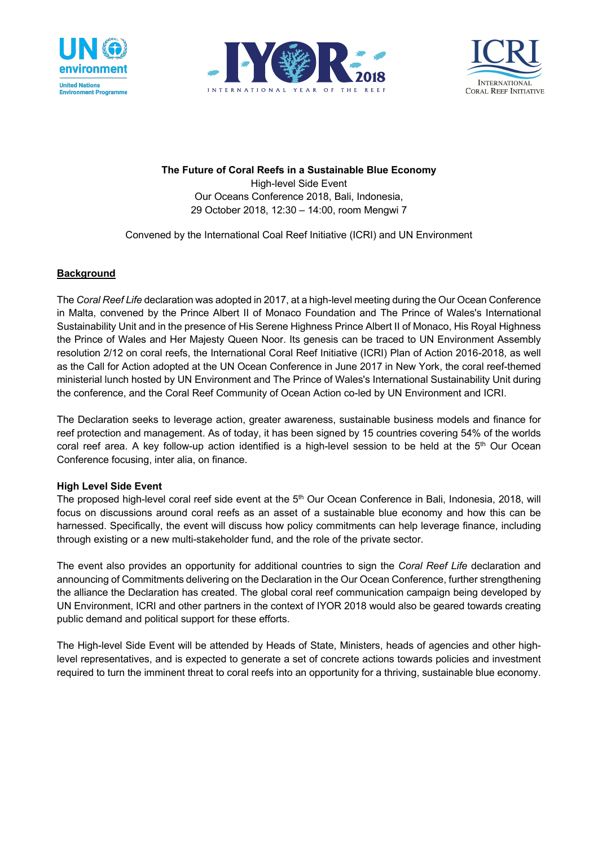





**The Future of Coral Reefs in a Sustainable Blue Economy**

High-level Side Event Our Oceans Conference 2018, Bali, Indonesia, 29 October 2018, 12:30 – 14:00, room Mengwi 7

Convened by the International Coal Reef Initiative (ICRI) and UN Environment

# **Background**

The *Coral Reef Life* declaration was adopted in 2017, at a high-level meeting during the Our Ocean Conference in Malta, convened by the Prince Albert II of Monaco Foundation and The Prince of Wales's International Sustainability Unit and in the presence of His Serene Highness Prince Albert II of Monaco, His Royal Highness the Prince of Wales and Her Majesty Queen Noor. Its genesis can be traced to UN Environment Assembly resolution 2/12 on coral reefs, the International Coral Reef Initiative (ICRI) Plan of Action 2016-2018, as well as the Call for Action adopted at the UN Ocean Conference in June 2017 in New York, the coral reef-themed ministerial lunch hosted by UN Environment and The Prince of Wales's International Sustainability Unit during the conference, and the Coral Reef Community of Ocean Action co-led by UN Environment and ICRI.

The Declaration seeks to leverage action, greater awareness, sustainable business models and finance for reef protection and management. As of today, it has been signed by 15 countries covering 54% of the worlds coral reef area. A key follow-up action identified is a high-level session to be held at the  $5<sup>th</sup>$  Our Ocean Conference focusing, inter alia, on finance.

## **High Level Side Event**

The proposed high-level coral reef side event at the 5<sup>th</sup> Our Ocean Conference in Bali, Indonesia, 2018, will focus on discussions around coral reefs as an asset of a sustainable blue economy and how this can be harnessed. Specifically, the event will discuss how policy commitments can help leverage finance, including through existing or a new multi-stakeholder fund, and the role of the private sector.

The event also provides an opportunity for additional countries to sign the *Coral Reef Life* declaration and announcing of Commitments delivering on the Declaration in the Our Ocean Conference, further strengthening the alliance the Declaration has created. The global coral reef communication campaign being developed by UN Environment, ICRI and other partners in the context of IYOR 2018 would also be geared towards creating public demand and political support for these efforts.

The High-level Side Event will be attended by Heads of State, Ministers, heads of agencies and other highlevel representatives, and is expected to generate a set of concrete actions towards policies and investment required to turn the imminent threat to coral reefs into an opportunity for a thriving, sustainable blue economy.